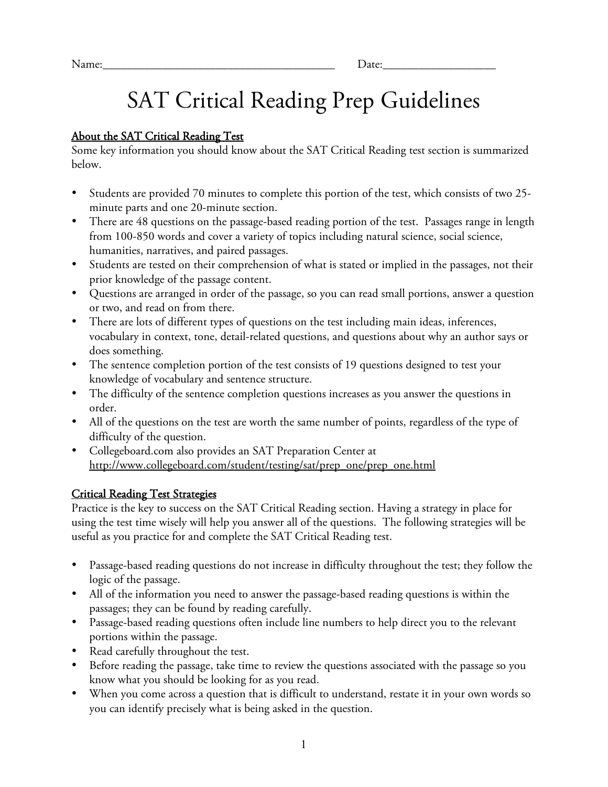# *SAT Critical Reading Prep Guidelines*

#### *About the SAT Critical Reading Test*

*Some key information you should know about the SAT Critical Reading test section is summarized below.*

- *Students are provided 70 minutes to complete this portion of the test, which consists of two 25 minute parts and one 20-minute section.*
- *There are 48 questions on the passage-based reading portion of the test. Passages range in length from 100-850 words and cover a variety of topics including natural science, social science, humanities, narratives, and paired passages.*
- *Students are tested on their comprehension of what is stated or implied in the passages, not their prior knowledge of the passage content.*
- *Questions are arranged in order of the passage, so you can read small portions, answer a question or two, and read on from there.*
- *There are lots of different types of questions on the test including main ideas, inferences, vocabulary in context, tone, detail-related questions, and questions about why an author says or does something.*
- *The sentence completion portion of the test consists of 19 questions designed to test your knowledge of vocabulary and sentence structure.*
- *The difficulty of the sentence completion questions increases as you answer the questions in order.*
- *All of the questions on the test are worth the same number of points, regardless of the type of difficulty of the question.*
- *Collegeboard.com also provides an SAT Preparation Center at http://www.collegeboard.com/student/testing/sat/prep\_one/prep\_one.html*

### *Critical Reading Test Strategies*

*Practice is the key to success on the SAT Critical Reading section. Having a strategy in place for using the test time wisely will help you answer all of the questions. The following strategies will be useful as you practice for and complete the SAT Critical Reading test.*

- *Passage-based reading questions do not increase in difficulty throughout the test; they follow the logic of the passage.*
- *All of the information you need to answer the passage-based reading questions is within the passages; they can be found by reading carefully.*
- *Passage-based reading questions often include line numbers to help direct you to the relevant portions within the passage.*
- *Read carefully throughout the test.*
- *Before reading the passage, take time to review the questions associated with the passage so you know what you should be looking for as you read.*
- *When you come across a question that is difficult to understand, restate it in your own words so you can identify precisely what is being asked in the question.*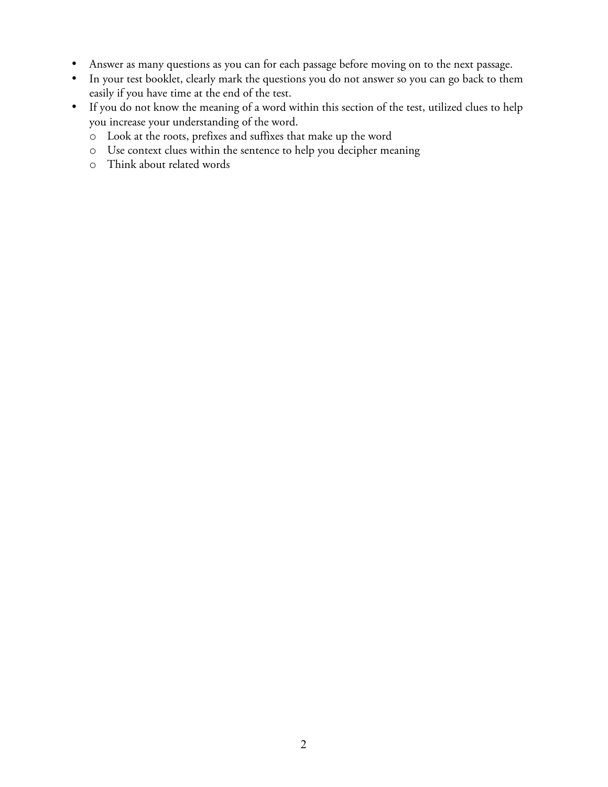- *Answer as many questions as you can for each passage before moving on to the next passage.*
- *In your test booklet, clearly mark the questions you do not answer so you can go back to them easily if you have time at the end of the test.*
- *If you do not know the meaning of a word within this section of the test, utilized clues to help you increase your understanding of the word.*
	- o *Look at the roots, prefixes and suffixes that make up the word*
	- o *Use context clues within the sentence to help you decipher meaning*
	- o *Think about related words*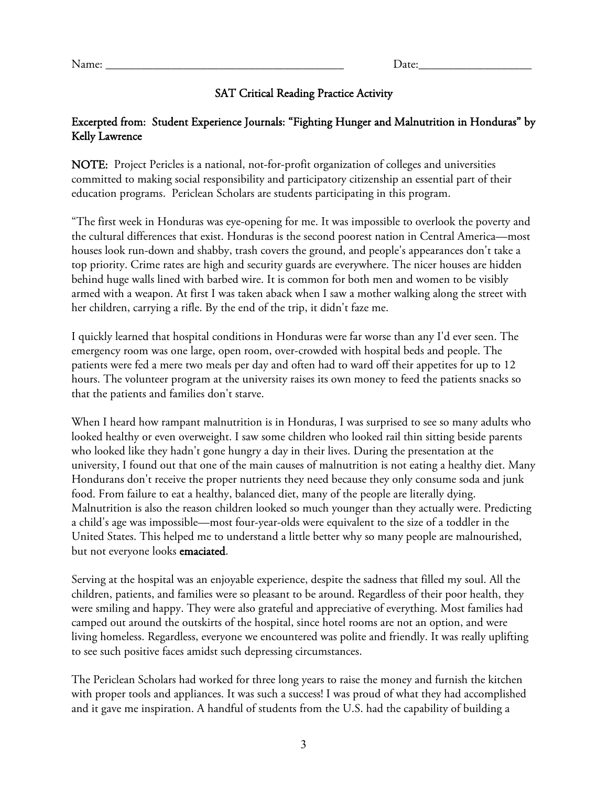#### *SAT Critical Reading Practice Activity*

#### *Excerpted from: Student Experience Journals: "Fighting Hunger and Malnutrition in Honduras" by Kelly Lawrence*

*NOTE: Project Pericles is a national, not-for-profit organization of colleges and universities committed to making social responsibility and participatory citizenship an essential part of their education programs. Periclean Scholars are students participating in this program.*

*"The first week in Honduras was eye-opening for me. It was impossible to overlook the poverty and the cultural differences that exist. Honduras is the second poorest nation in Central America—most houses look run-down and shabby, trash covers the ground, and people's appearances don't take a top priority. Crime rates are high and security guards are everywhere. The nicer houses are hidden behind huge walls lined with barbed wire. It is common for both men and women to be visibly armed with a weapon. At first I was taken aback when I saw a mother walking along the street with her children, carrying a rifle. By the end of the trip, it didn't faze me.*

*I quickly learned that hospital conditions in Honduras were far worse than any I'd ever seen. The emergency room was one large, open room, over-crowded with hospital beds and people. The patients were fed a mere two meals per day and often had to ward off their appetites for up to 12 hours. The volunteer program at the university raises its own money to feed the patients snacks so that the patients and families don't starve.*

*When I heard how rampant malnutrition is in Honduras, I was surprised to see so many adults who looked healthy or even overweight. I saw some children who looked rail thin sitting beside parents who looked like they hadn't gone hungry a day in their lives. During the presentation at the university, I found out that one of the main causes of malnutrition is not eating a healthy diet. Many Hondurans don't receive the proper nutrients they need because they only consume soda and junk food. From failure to eat a healthy, balanced diet, many of the people are literally dying. Malnutrition is also the reason children looked so much younger than they actually were. Predicting a child's age was impossible—most four-year-olds were equivalent to the size of a toddler in the United States. This helped me to understand a little better why so many people are malnourished, but not everyone looks emaciated.*

*Serving at the hospital was an enjoyable experience, despite the sadness that filled my soul. All the children, patients, and families were so pleasant to be around. Regardless of their poor health, they were smiling and happy. They were also grateful and appreciative of everything. Most families had camped out around the outskirts of the hospital, since hotel rooms are not an option, and were living homeless. Regardless, everyone we encountered was polite and friendly. It was really uplifting to see such positive faces amidst such depressing circumstances.*

*The Periclean Scholars had worked for three long years to raise the money and furnish the kitchen with proper tools and appliances. It was such a success! I was proud of what they had accomplished and it gave me inspiration. A handful of students from the U.S. had the capability of building a*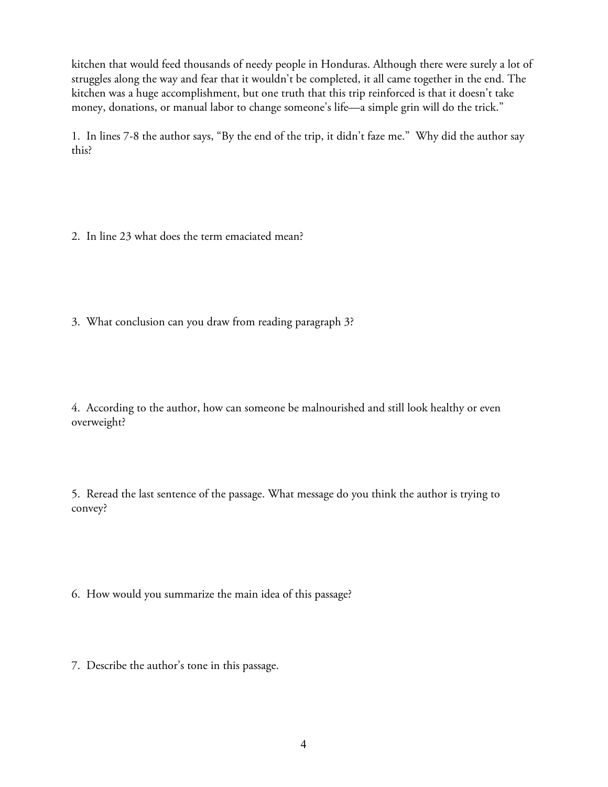*kitchen that would feed thousands of needy people in Honduras. Although there were surely a lot of struggles along the way and fear that it wouldn't be completed, it all came together in the end. The kitchen was a huge accomplishment, but one truth that this trip reinforced is that it doesn't take money, donations, or manual labor to change someone's life—a simple grin will do the trick."*

*1. In lines 7-8 the author says, "By the end of the trip, it didn't faze me." Why did the author say this?*

*2. In line 23 what does the term emaciated mean?*

*3. What conclusion can you draw from reading paragraph 3?*

*4. According to the author, how can someone be malnourished and still look healthy or even overweight?*

*5. Reread the last sentence of the passage. What message do you think the author is trying to convey?*

*6. How would you summarize the main idea of this passage?*

*7. Describe the author's tone in this passage.*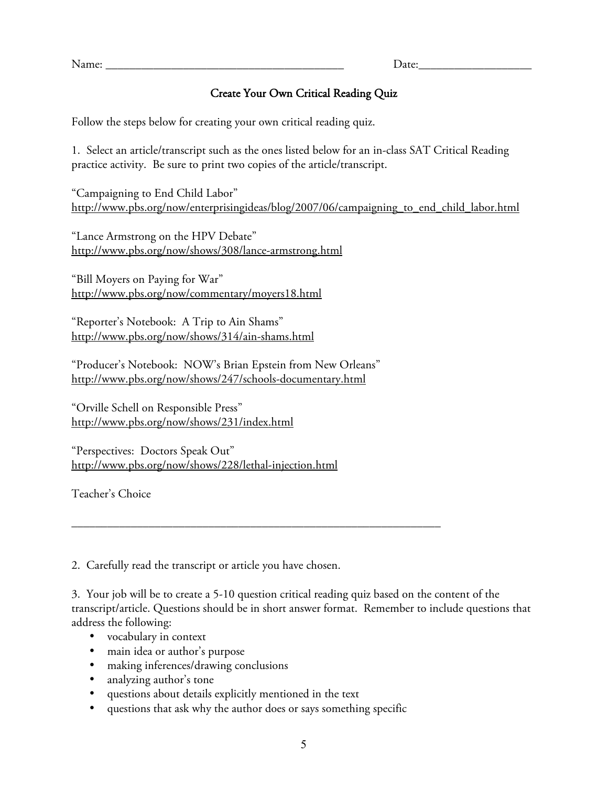*Name: \_\_\_\_\_\_\_\_\_\_\_\_\_\_\_\_\_\_\_\_\_\_\_\_\_\_\_\_\_\_\_\_\_\_\_\_\_\_\_\_ Date:\_\_\_\_\_\_\_\_\_\_\_\_\_\_\_\_\_\_\_*

## *Create Your Own Critical Reading Quiz*

*Follow the steps below for creating your own critical reading quiz.*

*1. Select an article/transcript such as the ones listed below for an in-class SAT Critical Reading practice activity. Be sure to print two copies of the article/transcript.*

*"Campaigning to End Child Labor" http://www.pbs.org/now/enterprisingideas/blog/2007/06/campaigning\_to\_end\_child\_labor.html*

*"Lance Armstrong on the HPV Debate" http://www.pbs.org/now/shows/308/lance-armstrong.html*

*"Bill Moyers on Paying for War" http://www.pbs.org/now/commentary/moyers18.html*

*"Reporter's Notebook: A Trip to Ain Shams" http://www.pbs.org/now/shows/314/ain-shams.html*

*"Producer's Notebook: NOW's Brian Epstein from New Orleans" http://www.pbs.org/now/shows/247/schools-documentary.html*

*"Orville Schell on Responsible Press" http://www.pbs.org/now/shows/231/index.html*

*"Perspectives: Doctors Speak Out" http://www.pbs.org/now/shows/228/lethal-injection.html*

*Teacher's Choice*

*2. Carefully read the transcript or article you have chosen.*

*3. Your job will be to create a 5-10 question critical reading quiz based on the content of the transcript/article. Questions should be in short answer format. Remember to include questions that address the following:*

- *vocabulary in context*
- *main idea or author's purpose*
- *making inferences/drawing conclusions*
- *analyzing author's tone*
- *questions about details explicitly mentioned in the text*
- *questions that ask why the author does or says something specific*

*\_\_\_\_\_\_\_\_\_\_\_\_\_\_\_\_\_\_\_\_\_\_\_\_\_\_\_\_\_\_\_\_\_\_\_\_\_\_\_\_\_\_\_\_\_\_\_\_\_\_\_\_\_\_\_\_\_\_\_\_\_\_*